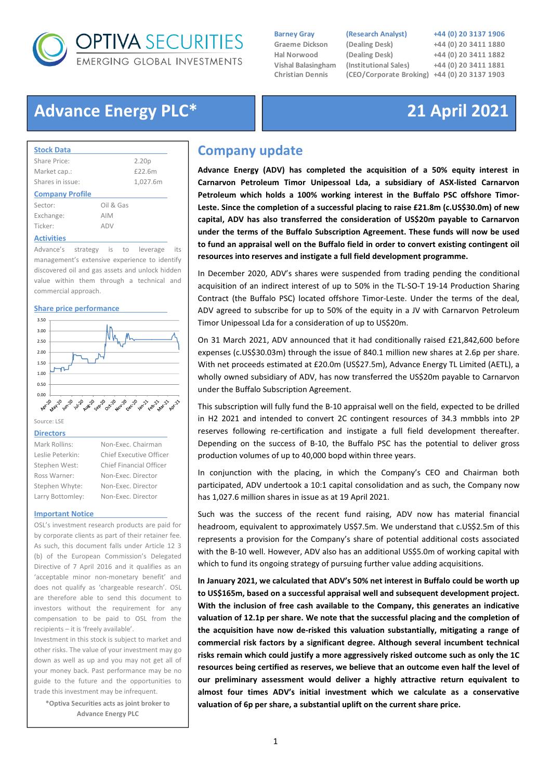

**Vishal Balasingham**<br>Christian Dennis

### Barney Gray (Research Analyst) +44 (0) 20 3137 1906

Graeme Dickson (Dealing Desk) +44 (0) 20 3411 1880 Hal Norwood (Dealing Desk) +44 (0) 20 3411 1882 (Institutional Sales) +44 (0) 20 3411 1881 (CEO/Corporate Broking) +44 (0) 20 3137 1903

# Advance Energy PLC\* 21 April 2021

| <b>Stock Data</b>      |            |                   |
|------------------------|------------|-------------------|
| Share Price:           |            | 2.20 <sub>p</sub> |
| Market cap.:           |            | £22.6m            |
| Shares in issue:       |            | 1,027.6m          |
| <b>Company Profile</b> |            |                   |
| Sector:                | Oil & Gas  |                   |
| Exchange:              | <b>AIM</b> |                   |
| Ticker:                | ADV        |                   |
| <b>Activities</b>      |            |                   |

Advance's strategy is to leverage its management's extensive experience to identify discovered oil and gas assets and unlock hidden value within them through a technical and commercial approach.

#### Share price performance



Source: LSE

#### **Directors**

| Mark Rollins:    | Non-Exec. Chairman             |  |
|------------------|--------------------------------|--|
| Leslie Peterkin: | <b>Chief Executive Officer</b> |  |
| Stephen West:    | <b>Chief Financial Officer</b> |  |
| Ross Warner:     | Non-Exec. Director             |  |
| Stephen Whyte:   | Non-Exec. Director             |  |
| Larry Bottomley: | Non-Exec. Director             |  |
|                  |                                |  |

#### Important Notice

OSL's investment research products are paid for by corporate clients as part of their retainer fee. As such, this document falls under Article 12 3 (b) of the European Commission's Delegated Directive of 7 April 2016 and it qualifies as an 'acceptable minor non-monetary benefit' and does not qualify as 'chargeable research'. OSL are therefore able to send this document to investors without the requirement for any compensation to be paid to OSL from the recipients – it is 'freely available'.

Investment in this stock is subject to market and other risks. The value of your investment may go down as well as up and you may not get all of your money back. Past performance may be no guide to the future and the opportunities to trade this investment may be infrequent.

\*Optiva Securities acts as joint broker to Advance Energy PLC

## Company update

Advance Energy (ADV) has completed the acquisition of a 50% equity interest in Carnarvon Petroleum Timor Unipessoal Lda, a subsidiary of ASX-listed Carnarvon Petroleum which holds a 100% working interest in the Buffalo PSC offshore Timor-Leste. Since the completion of a successful placing to raise £21.8m (c.US\$30.0m) of new capital, ADV has also transferred the consideration of US\$20m payable to Carnarvon under the terms of the Buffalo Subscription Agreement. These funds will now be used to fund an appraisal well on the Buffalo field in order to convert existing contingent oil resources into reserves and instigate a full field development programme.

In December 2020, ADV's shares were suspended from trading pending the conditional acquisition of an indirect interest of up to 50% in the TL-SO-T 19-14 Production Sharing Contract (the Buffalo PSC) located offshore Timor-Leste. Under the terms of the deal, ADV agreed to subscribe for up to 50% of the equity in a JV with Carnarvon Petroleum Timor Unipessoal Lda for a consideration of up to US\$20m.

On 31 March 2021, ADV announced that it had conditionally raised £21,842,600 before expenses (c.US\$30.03m) through the issue of 840.1 million new shares at 2.6p per share. With net proceeds estimated at £20.0m (US\$27.5m), Advance Energy TL Limited (AETL), a wholly owned subsidiary of ADV, has now transferred the US\$20m payable to Carnarvon under the Buffalo Subscription Agreement.

This subscription will fully fund the B-10 appraisal well on the field, expected to be drilled in H2 2021 and intended to convert 2C contingent resources of 34.3 mmbbls into 2P reserves following re-certification and instigate a full field development thereafter. Depending on the success of B-10, the Buffalo PSC has the potential to deliver gross production volumes of up to 40,000 bopd within three years.

In conjunction with the placing, in which the Company's CEO and Chairman both participated, ADV undertook a 10:1 capital consolidation and as such, the Company now has 1,027.6 million shares in issue as at 19 April 2021.

Such was the success of the recent fund raising, ADV now has material financial headroom, equivalent to approximately US\$7.5m. We understand that c.US\$2.5m of this represents a provision for the Company's share of potential additional costs associated with the B-10 well. However, ADV also has an additional US\$5.0m of working capital with which to fund its ongoing strategy of pursuing further value adding acquisitions.

In January 2021, we calculated that ADV's 50% net interest in Buffalo could be worth up to US\$165m, based on a successful appraisal well and subsequent development project. With the inclusion of free cash available to the Company, this generates an indicative valuation of 12.1p per share. We note that the successful placing and the completion of the acquisition have now de-risked this valuation substantially, mitigating a range of commercial risk factors by a significant degree. Although several incumbent technical risks remain which could justify a more aggressively risked outcome such as only the 1C resources being certified as reserves, we believe that an outcome even half the level of our preliminary assessment would deliver a highly attractive return equivalent to almost four times ADV's initial investment which we calculate as a conservative valuation of 6p per share, a substantial uplift on the current share price.